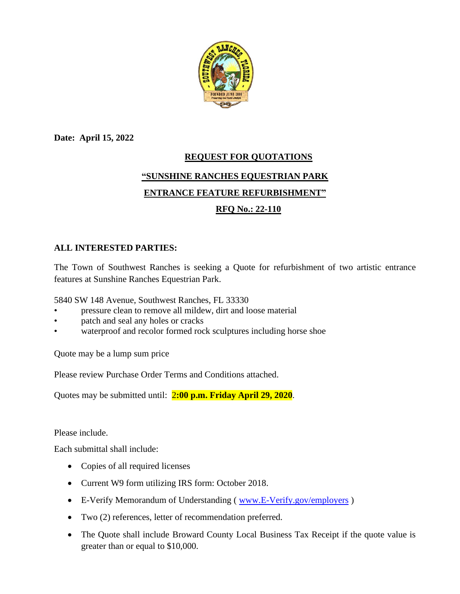

**Date: April 15, 2022**

# **REQUEST FOR QUOTATIONS "SUNSHINE RANCHES EQUESTRIAN PARK ENTRANCE FEATURE REFURBISHMENT"**

# **RFQ No.: 22-110**

## **ALL INTERESTED PARTIES:**

The Town of Southwest Ranches is seeking a Quote for refurbishment of two artistic entrance features at Sunshine Ranches Equestrian Park.

5840 SW 148 Avenue, Southwest Ranches, FL 33330

- pressure clean to remove all mildew, dirt and loose material
- patch and seal any holes or cracks
- waterproof and recolor formed rock sculptures including horse shoe

Quote may be a lump sum price

Please review Purchase Order Terms and Conditions attached.

Quotes may be submitted until: 2**:00 p.m. Friday April 29, 2020**.

Please include.

Each submittal shall include:

- Copies of all required licenses
- Current W9 form utilizing IRS form: October 2018.
- E-Verify Memorandum of Understanding (www.E-Verify.gov/employers)
- Two (2) references, letter of recommendation preferred.
- The Quote shall include Broward County Local Business Tax Receipt if the quote value is greater than or equal to \$10,000.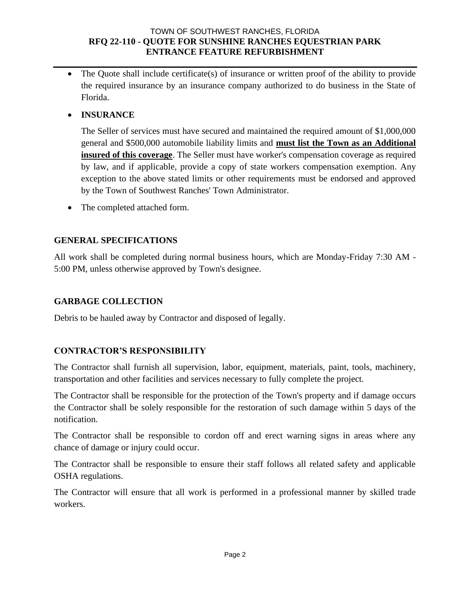#### TOWN OF SOUTHWEST RANCHES, FLORIDA **RFQ 22-110 - QUOTE FOR SUNSHINE RANCHES EQUESTRIAN PARK ENTRANCE FEATURE REFURBISHMENT**

• The Quote shall include certificate(s) of insurance or written proof of the ability to provide the required insurance by an insurance company authorized to do business in the State of Florida.

## • **INSURANCE**

The Seller of services must have secured and maintained the required amount of \$1,000,000 general and \$500,000 automobile liability limits and **must list the Town as an Additional insured of this coverage**. The Seller must have worker's compensation coverage as required by law, and if applicable, provide a copy of state workers compensation exemption. Any exception to the above stated limits or other requirements must be endorsed and approved by the Town of Southwest Ranches' Town Administrator.

• The completed attached form.

#### **GENERAL SPECIFICATIONS**

All work shall be completed during normal business hours, which are Monday-Friday 7:30 AM - 5:00 PM, unless otherwise approved by Town's designee.

## **GARBAGE COLLECTION**

Debris to be hauled away by Contractor and disposed of legally.

# **CONTRACTOR'S RESPONSIBILITY**

The Contractor shall furnish all supervision, labor, equipment, materials, paint, tools, machinery, transportation and other facilities and services necessary to fully complete the project.

The Contractor shall be responsible for the protection of the Town's property and if damage occurs the Contractor shall be solely responsible for the restoration of such damage within 5 days of the notification.

The Contractor shall be responsible to cordon off and erect warning signs in areas where any chance of damage or injury could occur.

The Contractor shall be responsible to ensure their staff follows all related safety and applicable OSHA regulations.

The Contractor will ensure that all work is performed in a professional manner by skilled trade workers.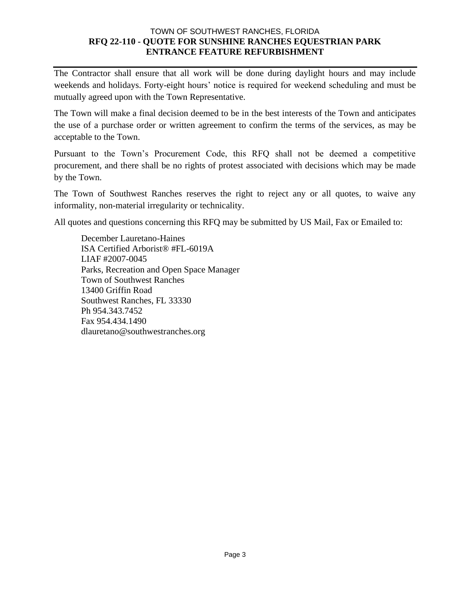#### TOWN OF SOUTHWEST RANCHES, FLORIDA **RFQ 22-110 - QUOTE FOR SUNSHINE RANCHES EQUESTRIAN PARK ENTRANCE FEATURE REFURBISHMENT**

The Contractor shall ensure that all work will be done during daylight hours and may include weekends and holidays. Forty-eight hours' notice is required for weekend scheduling and must be mutually agreed upon with the Town Representative.

The Town will make a final decision deemed to be in the best interests of the Town and anticipates the use of a purchase order or written agreement to confirm the terms of the services, as may be acceptable to the Town.

Pursuant to the Town's Procurement Code, this RFQ shall not be deemed a competitive procurement, and there shall be no rights of protest associated with decisions which may be made by the Town.

The Town of Southwest Ranches reserves the right to reject any or all quotes, to waive any informality, non-material irregularity or technicality.

All quotes and questions concerning this RFQ may be submitted by US Mail, Fax or Emailed to:

December Lauretano-Haines ISA Certified Arborist® #FL-6019A LIAF #2007-0045 Parks, Recreation and Open Space Manager Town of Southwest Ranches 13400 Griffin Road Southwest Ranches, FL 33330 Ph 954.343.7452 Fax 954.434.1490 dlauretano@southwestranches.org